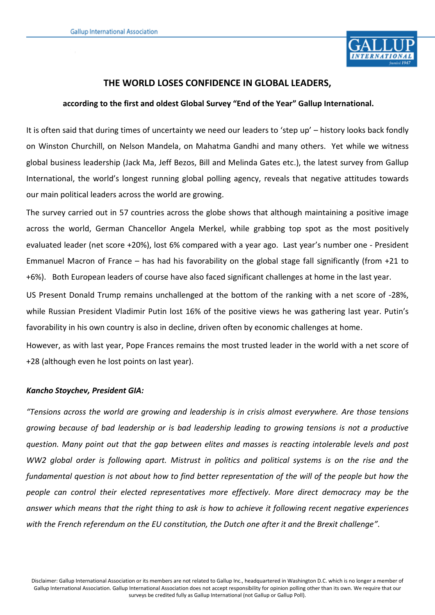

## **THE WORLD LOSES CONFIDENCE IN GLOBAL LEADERS,**

### **according to the first and oldest Global Survey "End of the Year" Gallup International.**

It is often said that during times of uncertainty we need our leaders to 'step up' – history looks back fondly on Winston Churchill, on Nelson Mandela, on Mahatma Gandhi and many others. Yet while we witness global business leadership (Jack Ma, Jeff Bezos, Bill and Melinda Gates etc.), the latest survey from Gallup International, the world's longest running global polling agency, reveals that negative attitudes towards our main political leaders across the world are growing.

The survey carried out in 57 countries across the globe shows that although maintaining a positive image across the world, German Chancellor Angela Merkel, while grabbing top spot as the most positively evaluated leader (net score +20%), lost 6% compared with a year ago. Last year's number one - President Emmanuel Macron of France – has had his favorability on the global stage fall significantly (from +21 to +6%). Both European leaders of course have also faced significant challenges at home in the last year.

US Present Donald Trump remains unchallenged at the bottom of the ranking with a net score of -28%, while Russian President Vladimir Putin lost 16% of the positive views he was gathering last year. Putin's favorability in his own country is also in decline, driven often by economic challenges at home.

However, as with last year, Pope Frances remains the most trusted leader in the world with a net score of +28 (although even he lost points on last year).

#### *Kancho Stoychev, President GIA:*

*"Tensions across the world are growing and leadership is in crisis almost everywhere. Are those tensions growing because of bad leadership or is bad leadership leading to growing tensions is not a productive question. Many point out that the gap between elites and masses is reacting intolerable levels and post WW2 global order is following apart. Mistrust in politics and political systems is on the rise and the fundamental question is not about how to find better representation of the will of the people but how the people can control their elected representatives more effectively. More direct democracy may be the answer which means that the right thing to ask is how to achieve it following recent negative experiences with the French referendum on the EU constitution, the Dutch one after it and the Brexit challenge".*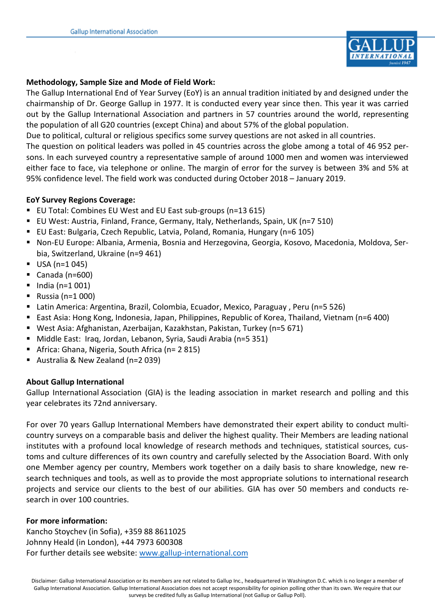

## **Methodology, Sample Size and Mode of Field Work:**

The Gallup International End of Year Survey (EoY) is an annual tradition initiated by and designed under the chairmanship of Dr. George Gallup in 1977. It is conducted every year since then. This year it was carried out by the Gallup International Association and partners in 57 countries around the world, representing the population of all G20 countries (except China) and about 57% of the global population.

Due to political, cultural or religious specifics some survey questions are not asked in all countries.

The question on political leaders was polled in 45 countries across the globe among a total of 46 952 persons. In each surveyed country a representative sample of around 1000 men and women was interviewed either face to face, via telephone or online. The margin of error for the survey is between 3% and 5% at 95% confidence level. The field work was conducted during October 2018 – January 2019.

### **EoY Survey Regions Coverage:**

- EU Total: Combines EU West and EU East sub-groups (n=13 615)
- EU West: Austria, Finland, France, Germany, Italy, Netherlands, Spain, UK (n=7 510)
- EU East: Bulgaria, Czech Republic, Latvia, Poland, Romania, Hungary (n=6 105)
- Non-EU Europe: Albania, Armenia, Bosnia and Herzegovina, Georgia, Kosovo, Macedonia, Moldova, Serbia, Switzerland, Ukraine (n=9 461)
- $\blacksquare$  USA (n=1 045)
- Canada ( $n=600$ )
- $\blacksquare$  India (n=1 001)
- **Russia (n=1 000)**
- Latin America: Argentina, Brazil, Colombia, Ecuador, Mexico, Paraguay, Peru (n=5 526)
- East Asia: Hong Kong, Indonesia, Japan, Philippines, Republic of Korea, Thailand, Vietnam (n=6 400)
- West Asia: Afghanistan, Azerbaijan, Kazakhstan, Pakistan, Turkey (n=5 671)
- Middle East: Iraq, Jordan, Lebanon, Syria, Saudi Arabia (n=5 351)
- Africa: Ghana, Nigeria, South Africa (n= 2 815)
- Australia & New Zealand (n=2 039)

## **About Gallup International**

Gallup International Association (GIA) is the leading association in market research and polling and this year celebrates its 72nd anniversary.

For over 70 years Gallup International Members have demonstrated their expert ability to conduct multicountry surveys on a comparable basis and deliver the highest quality. Their Members are leading national institutes with a profound local knowledge of research methods and techniques, statistical sources, customs and culture differences of its own country and carefully selected by the Association Board. With only one Member agency per country, Members work together on a daily basis to share knowledge, new research techniques and tools, as well as to provide the most appropriate solutions to international research projects and service our clients to the best of our abilities. GIA has over 50 members and conducts research in over 100 countries.

## **For more information:**

Kancho Stoychev (in Sofia), +359 88 8611025 Johnny Heald (in London), +44 7973 600308 For further details see website: [www.gallup-international.com](http://www.gallup-international.com/)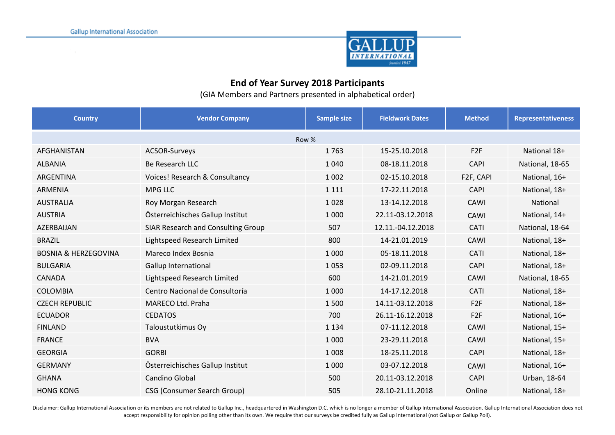

# **End of Year Survey 2018 Participants**

(GIA Members and Partners presented in alphabetical order)

| <b>Country</b>                  | <b>Vendor Company</b>              | Sample size | <b>Fieldwork Dates</b> | <b>Method</b>   | <b>Representativeness</b> |  |  |  |
|---------------------------------|------------------------------------|-------------|------------------------|-----------------|---------------------------|--|--|--|
| Row %                           |                                    |             |                        |                 |                           |  |  |  |
| AFGHANISTAN                     | ACSOR-Surveys                      | 1763        | 15-25.10.2018          | F <sub>2F</sub> | National 18+              |  |  |  |
| <b>ALBANIA</b>                  | <b>Be Research LLC</b>             | 1 0 4 0     | 08-18.11.2018          | <b>CAPI</b>     | National, 18-65           |  |  |  |
| ARGENTINA                       | Voices! Research & Consultancy     | 1 0 0 2     | 02-15.10.2018          | F2F, CAPI       | National, 16+             |  |  |  |
| <b>ARMENIA</b>                  | <b>MPG LLC</b>                     | 1 1 1 1     | 17-22.11.2018          | <b>CAPI</b>     | National, 18+             |  |  |  |
| <b>AUSTRALIA</b>                | Roy Morgan Research                | 1028        | 13-14.12.2018          | CAWI            | National                  |  |  |  |
| <b>AUSTRIA</b>                  | Österreichisches Gallup Institut   | 1 0 0 0     | 22.11-03.12.2018       | CAWI            | National, 14+             |  |  |  |
| AZERBAIJAN                      | SIAR Research and Consulting Group | 507         | 12.11.-04.12.2018      | CATI            | National, 18-64           |  |  |  |
| <b>BRAZIL</b>                   | Lightspeed Research Limited        | 800         | 14-21.01.2019          | CAWI            | National, 18+             |  |  |  |
| <b>BOSNIA &amp; HERZEGOVINA</b> | Mareco Index Bosnia                | 1 0 0 0     | 05-18.11.2018          | <b>CATI</b>     | National, 18+             |  |  |  |
| <b>BULGARIA</b>                 | <b>Gallup International</b>        | 1053        | 02-09.11.2018          | <b>CAPI</b>     | National, 18+             |  |  |  |
| <b>CANADA</b>                   | Lightspeed Research Limited        | 600         | 14-21.01.2019          | CAWI            | National, 18-65           |  |  |  |
| <b>COLOMBIA</b>                 | Centro Nacional de Consultoría     | 1 0 0 0     | 14-17.12.2018          | <b>CATI</b>     | National, 18+             |  |  |  |
| <b>CZECH REPUBLIC</b>           | MARECO Ltd. Praha                  | 1500        | 14.11-03.12.2018       | F <sub>2F</sub> | National, 18+             |  |  |  |
| <b>ECUADOR</b>                  | <b>CEDATOS</b>                     | 700         | 26.11-16.12.2018       | F2F             | National, 16+             |  |  |  |
| <b>FINLAND</b>                  | Taloustutkimus Oy                  | 1 1 3 4     | 07-11.12.2018          | CAWI            | National, 15+             |  |  |  |
| <b>FRANCE</b>                   | <b>BVA</b>                         | 1 0 0 0     | 23-29.11.2018          | CAWI            | National, 15+             |  |  |  |
| <b>GEORGIA</b>                  | <b>GORBI</b>                       | 1 0 0 8     | 18-25.11.2018          | <b>CAPI</b>     | National, 18+             |  |  |  |
| <b>GERMANY</b>                  | Österreichisches Gallup Institut   | 1 0 0 0     | 03-07.12.2018          | CAWI            | National, 16+             |  |  |  |
| <b>GHANA</b>                    | Candino Global                     | 500         | 20.11-03.12.2018       | <b>CAPI</b>     | Urban, 18-64              |  |  |  |
| <b>HONG KONG</b>                | <b>CSG (Consumer Search Group)</b> | 505         | 28.10-21.11.2018       | Online          | National, 18+             |  |  |  |

Disclaimer: Gallup International Association or its members are not related to Gallup Inc., headquartered in Washington D.C. which is no longer a member of Gallup International Association. Gallup International Association accept responsibility for opinion polling other than its own. We require that our surveys be credited fully as Gallup International (not Gallup or Gallup Poll).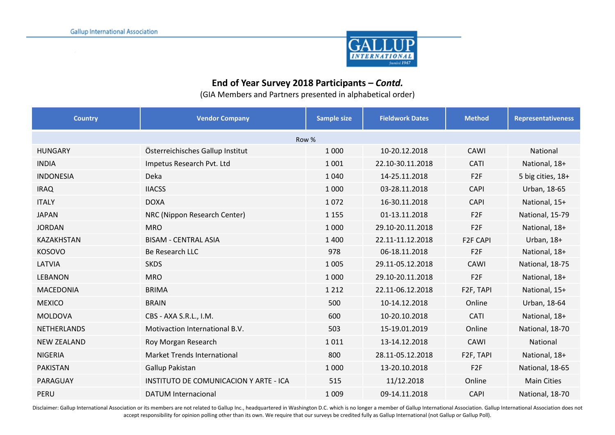

# **End of Year Survey 2018 Participants –** *Contd.*

(GIA Members and Partners presented in alphabetical order)

| <b>Country</b>     | <b>Vendor Company</b>                  | <b>Sample size</b> | <b>Fieldwork Dates</b> | <b>Method</b>   | <b>Representativeness</b> |  |  |  |
|--------------------|----------------------------------------|--------------------|------------------------|-----------------|---------------------------|--|--|--|
| Row %              |                                        |                    |                        |                 |                           |  |  |  |
| <b>HUNGARY</b>     | Österreichisches Gallup Institut       | 1 0 0 0            | 10-20.12.2018          | CAWI            | National                  |  |  |  |
| <b>INDIA</b>       | Impetus Research Pvt. Ltd              | 1 0 0 1            | 22.10-30.11.2018       | <b>CATI</b>     | National, 18+             |  |  |  |
| <b>INDONESIA</b>   | Deka                                   | 1 0 4 0            | 14-25.11.2018          | F <sub>2F</sub> | 5 big cities, 18+         |  |  |  |
| <b>IRAQ</b>        | <b>IIACSS</b>                          | 1 0 0 0            | 03-28.11.2018          | <b>CAPI</b>     | Urban, 18-65              |  |  |  |
| <b>ITALY</b>       | <b>DOXA</b>                            | 1072               | 16-30.11.2018          | <b>CAPI</b>     | National, 15+             |  |  |  |
| <b>JAPAN</b>       | NRC (Nippon Research Center)           | 1 1 5 5            | 01-13.11.2018          | F <sub>2F</sub> | National, 15-79           |  |  |  |
| <b>JORDAN</b>      | <b>MRO</b>                             | 1 0 0 0            | 29.10-20.11.2018       | F <sub>2F</sub> | National, 18+             |  |  |  |
| <b>KAZAKHSTAN</b>  | <b>BISAM - CENTRAL ASIA</b>            | 1 4 0 0            | 22.11-11.12.2018       | <b>F2F CAPI</b> | Urban, $18+$              |  |  |  |
| <b>KOSOVO</b>      | Be Research LLC                        | 978                | 06-18.11.2018          | F <sub>2F</sub> | National, 18+             |  |  |  |
| LATVIA             | <b>SKDS</b>                            | 1 0 0 5            | 29.11-05.12.2018       | CAWI            | National, 18-75           |  |  |  |
| <b>LEBANON</b>     | <b>MRO</b>                             | 1 0 0 0            | 29.10-20.11.2018       | F <sub>2F</sub> | National, 18+             |  |  |  |
| <b>MACEDONIA</b>   | <b>BRIMA</b>                           | 1 2 1 2            | 22.11-06.12.2018       | F2F, TAPI       | National, 15+             |  |  |  |
| <b>MEXICO</b>      | <b>BRAIN</b>                           | 500                | 10-14.12.2018          | Online          | Urban, 18-64              |  |  |  |
| <b>MOLDOVA</b>     | CBS - AXA S.R.L., I.M.                 | 600                | 10-20.10.2018          | CATI            | National, 18+             |  |  |  |
| <b>NETHERLANDS</b> | Motivaction International B.V.         | 503                | 15-19.01.2019          | Online          | National, 18-70           |  |  |  |
| <b>NEW ZEALAND</b> | Roy Morgan Research                    | 1011               | 13-14.12.2018          | CAWI            | National                  |  |  |  |
| <b>NIGERIA</b>     | <b>Market Trends International</b>     | 800                | 28.11-05.12.2018       | F2F, TAPI       | National, 18+             |  |  |  |
| <b>PAKISTAN</b>    | Gallup Pakistan                        | 1 0 0 0            | 13-20.10.2018          | F <sub>2F</sub> | National, 18-65           |  |  |  |
| PARAGUAY           | INSTITUTO DE COMUNICACION Y ARTE - ICA | 515                | 11/12.2018             | Online          | <b>Main Cities</b>        |  |  |  |
| PERU               | <b>DATUM Internacional</b>             | 1 0 0 9            | 09-14.11.2018          | <b>CAPI</b>     | National, 18-70           |  |  |  |

Disclaimer: Gallup International Association or its members are not related to Gallup Inc., headquartered in Washington D.C. which is no longer a member of Gallup International Association. Gallup International Association accept responsibility for opinion polling other than its own. We require that our surveys be credited fully as Gallup International (not Gallup or Gallup Poll).